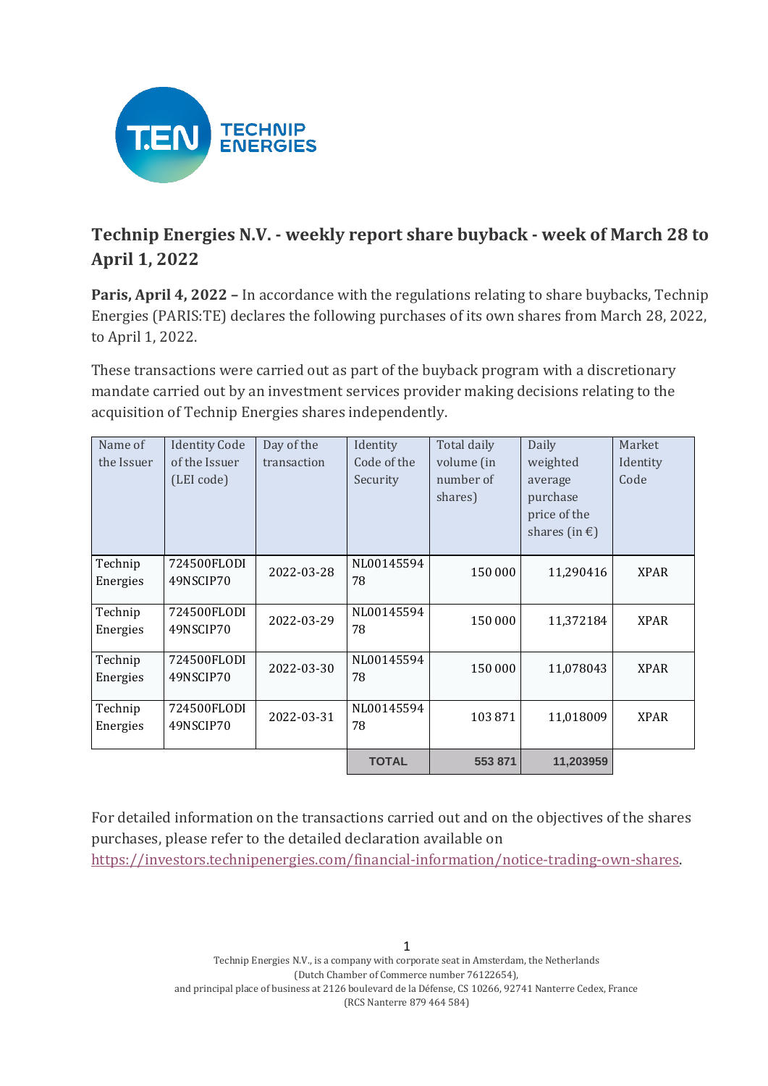

## **Technip Energies N.V. - weekly report share buyback - week of March 28 to April 1, 2022**

**Paris, April 4, 2022 –** In accordance with the regulations relating to share buybacks, Technip Energies (PARIS:TE) declares the following purchases of its own shares from March 28, 2022, to April 1, 2022.

These transactions were carried out as part of the buyback program with a discretionary mandate carried out by an investment services provider making decisions relating to the acquisition of Technip Energies shares independently.

| Name of    | <b>Identity Code</b> | Day of the  | Identity     | Total daily | Daily                   | Market      |
|------------|----------------------|-------------|--------------|-------------|-------------------------|-------------|
| the Issuer | of the Issuer        | transaction | Code of the  | volume (in  | weighted                | Identity    |
|            | (LEI code)           |             | Security     | number of   | average                 | Code        |
|            |                      |             |              | shares)     | purchase                |             |
|            |                      |             |              |             | price of the            |             |
|            |                      |             |              |             | shares (in $\epsilon$ ) |             |
|            |                      |             |              |             |                         |             |
| Technip    | 724500FLODI          | 2022-03-28  | NL00145594   | 150 000     | 11,290416               | <b>XPAR</b> |
| Energies   | 49NSCIP70            |             | 78           |             |                         |             |
|            |                      |             |              |             |                         |             |
| Technip    | 724500FLODI          | 2022-03-29  | NL00145594   | 150 000     | 11,372184               | <b>XPAR</b> |
| Energies   | 49NSCIP70            |             | 78           |             |                         |             |
|            |                      |             |              |             |                         |             |
| Technip    | 724500FLODI          | 2022-03-30  | NL00145594   | 150 000     | 11,078043               | <b>XPAR</b> |
| Energies   | 49NSCIP70            |             | 78           |             |                         |             |
|            |                      |             |              |             |                         |             |
| Technip    | 724500FLODI          | 2022-03-31  | NL00145594   | 103871      | 11,018009               | <b>XPAR</b> |
| Energies   | 49NSCIP70            |             | 78           |             |                         |             |
|            |                      |             |              |             |                         |             |
|            |                      |             | <b>TOTAL</b> | 553 871     | 11,203959               |             |

For detailed information on the transactions carried out and on the objectives of the shares purchases, please refer to the detailed declaration available on

[https://investors.technipenergies.com/financial-information/notice-trading-own-shares.](https://investors.technipenergies.com/financial-information/notice-trading-own-shares)